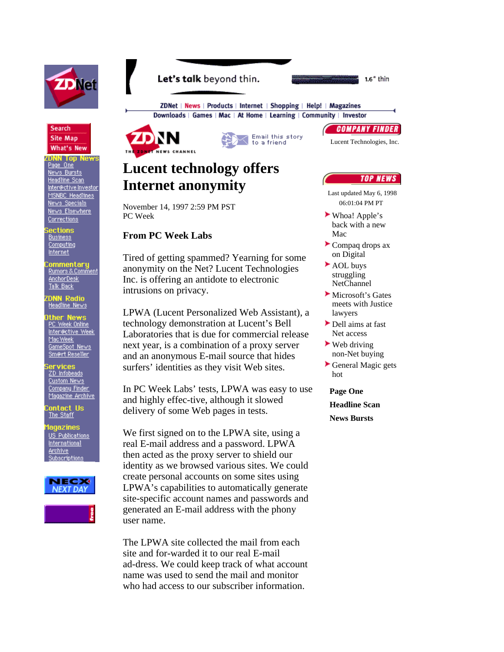



**DNN Top News**<br><u>Page One</u> News Bursts Headline Scan Inter@ctive Investor MSNBC Headlines News Specials News Elsewhere **Corrections** 

i<mark>ections</mark><br>Business Computing **Internet** 

:<mark>ommentary</mark><br><u>Rumors&Comment</u> AnchorDesk Talk Back

**IDNN Radio**<br>Headline News

**Ither News**<br><u>PC Week Online</u> Inter@ctive Week Mac Week<br>GameSpot\_News Sm@rt Reseller

i**ervices**<br><u>ZD Infobeads</u> Custom News Company Finder Magazine Archive

ontact Us The Staff

agazines US Publications **International Archive** Subscriptions









ZDNet | News | Products | Internet | Shopping | Help! | Magazines Downloads | Games | Mac | At Home | Learning | Community | Investor

## **Lucent technology offers Internet anonymity**

November 14, 1997 2:59 PM PST PC Week

## **From PC Week Labs**

Tired of getting spammed? Yearning for some anonymity on the Net? Lucent Technologies Inc. is offering an antidote to electronic intrusions on privacy.

LPWA (Lucent Personalized Web Assistant), a technology demonstration at Lucent's Bell Laboratories that is due for commercial release next year, is a combination of a proxy server and an anonymous E-mail source that hides surfers' identities as they visit Web sites.

In PC Week Labs' tests, LPWA was easy to use and highly effec-tive, although it slowed delivery of some Web pages in tests.

We first signed on to the LPWA site, using a real E-mail address and a password. LPWA then acted as the proxy server to shield our identity as we browsed various sites. We could create personal accounts on some sites using LPWA's capabilities to automatically generate site-specific account names and passwords and generated an E-mail address with the phony user name.

The LPWA site collected the mail from each site and for-warded it to our real E-mail ad-dress. We could keep track of what account name was used to send the mail and monitor who had access to our subscriber information.

**COMPANY FINDER** 

 $1.6$ " thin

Lucent Technologies, Inc.

## **TOP NEWS**

Last updated May 6, 1998 06:01:04 PM PT

- Whoa! Apple's back with a new Mac
- Compaq drops ax on Digital
- ► AOL buys struggling NetChannel
- **Microsoft's Gates** meets with Justice lawyers
- Dell aims at fast Net access
- $\blacktriangleright$  Web driving non-Net buying
- General Magic gets hot
- **Page One Headline Scan News Bursts**